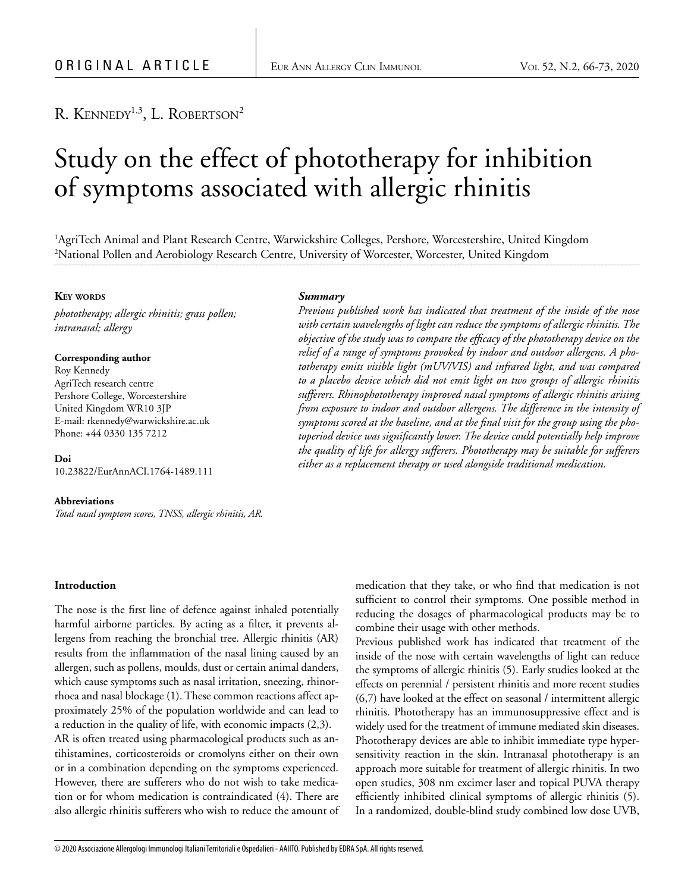# R. KENNEDY<sup>1,3</sup>, L. ROBERTSON<sup>2</sup>

# Study on the effect of phototherapy for inhibition of symptoms associated with allergic rhinitis

1 AgriTech Animal and Plant Research Centre, Warwickshire Colleges, Pershore, Worcestershire, United Kingdom 2 National Pollen and Aerobiology Research Centre, University of Worcester, Worcester, United Kingdom

# **KEY** WORDS

*phototherapy; allergic rhinitis; grass pollen; intranasal; allergy*

#### **Corresponding author**

Roy Kennedy AgriTech research centre Pershore College, Worcestershire United Kingdom WR10 3JP E-mail: rkennedy@warwickshire.ac.uk Phone: +44 0330 135 7212

**Doi** 10.23822/EurAnnACI.1764-1489.111

#### **Abbreviations**

*Total nasal symptom scores, TNSS, allergic rhinitis, AR.*

#### **Introduction**

The nose is the first line of defence against inhaled potentially harmful airborne particles. By acting as a filter, it prevents allergens from reaching the bronchial tree. Allergic rhinitis (AR) results from the inflammation of the nasal lining caused by an allergen, such as pollens, moulds, dust or certain animal danders, which cause symptoms such as nasal irritation, sneezing, rhinorrhoea and nasal blockage (1). These common reactions affect approximately 25% of the population worldwide and can lead to a reduction in the quality of life, with economic impacts (2,3).

AR is often treated using pharmacological products such as antihistamines, corticosteroids or cromolyns either on their own or in a combination depending on the symptoms experienced. However, there are sufferers who do not wish to take medication or for whom medication is contraindicated (4). There are also allergic rhinitis sufferers who wish to reduce the amount of

#### *Summary*

*Previous published work has indicated that treatment of the inside of the nose with certain wavelengths of light can reduce the symptoms of allergic rhinitis. The objective of the study was to compare the efficacy of the phototherapy device on the relief of a range of symptoms provoked by indoor and outdoor allergens. A pho*totherapy emits visible light (mUV/VIS) and infrared light, and was compared *to a placebo device which did not emit light on two groups of allergic rhinitis sufferers. Rhinophototherapy improved nasal symptoms of allergic rhinitis arising from exposure to indoor and outdoor allergens. The difference in the intensity of symptoms scored at the baseline, and at the final visit for the group using the photoperiod device was significantly lower. The device could potentially help improve the quality of life for allergy sufferers. Phototherapy may be suitable for sufferers either as a replacement therapy or used alongside traditional medication.*

> medication that they take, or who find that medication is not sufficient to control their symptoms. One possible method in reducing the dosages of pharmacological products may be to combine their usage with other methods.

> Previous published work has indicated that treatment of the inside of the nose with certain wavelengths of light can reduce the symptoms of allergic rhinitis (5). Early studies looked at the effects on perennial / persistent rhinitis and more recent studies (6,7) have looked at the effect on seasonal / intermittent allergic rhinitis. Phototherapy has an immunosuppressive effect and is widely used for the treatment of immune mediated skin diseases. Phototherapy devices are able to inhibit immediate type hypersensitivity reaction in the skin. Intranasal phototherapy is an approach more suitable for treatment of allergic rhinitis. In two open studies, 308 nm excimer laser and topical PUVA therapy efficiently inhibited clinical symptoms of allergic rhinitis (5). In a randomized, double-blind study combined low dose UVB,

© 2020 Associazione Allergologi Immunologi Italiani Territoriali e Ospedalieri - AAIITO. Published by EDRA SpA. All rights reserved.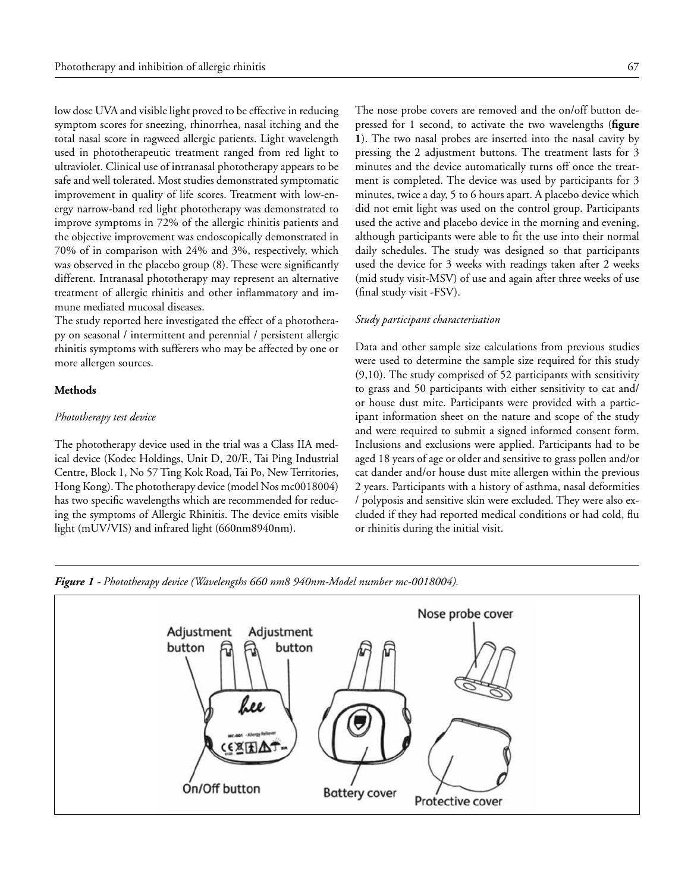low dose UVA and visible light proved to be effective in reducing symptom scores for sneezing, rhinorrhea, nasal itching and the total nasal score in ragweed allergic patients. Light wavelength used in phototherapeutic treatment ranged from red light to ultraviolet. Clinical use of intranasal phototherapy appears to be safe and well tolerated. Most studies demonstrated symptomatic improvement in quality of life scores. Treatment with low-energy narrow-band red light phototherapy was demonstrated to improve symptoms in 72% of the allergic rhinitis patients and the objective improvement was endoscopically demonstrated in 70% of in comparison with 24% and 3%, respectively, which was observed in the placebo group (8). These were significantly different. Intranasal phototherapy may represent an alternative treatment of allergic rhinitis and other inflammatory and immune mediated mucosal diseases.

The study reported here investigated the effect of a phototherapy on seasonal / intermittent and perennial / persistent allergic rhinitis symptoms with sufferers who may be affected by one or more allergen sources.

# **Methods**

#### *Phototherapy test device*

The phototherapy device used in the trial was a Class IIA medical device (Kodec Holdings, Unit D, 20/F., Tai Ping Industrial Centre, Block 1, No 57 Ting Kok Road, Tai Po, New Territories, Hong Kong). The phototherapy device (model Nos mc0018004) has two specific wavelengths which are recommended for reducing the symptoms of Allergic Rhinitis. The device emits visible light (mUV/VIS) and infrared light (660nm8940nm).

The nose probe covers are removed and the on/off button depressed for 1 second, to activate the two wavelengths (**figure 1**). The two nasal probes are inserted into the nasal cavity by pressing the 2 adjustment buttons. The treatment lasts for 3 minutes and the device automatically turns off once the treatment is completed. The device was used by participants for 3 minutes, twice a day, 5 to 6 hours apart. A placebo device which did not emit light was used on the control group. Participants used the active and placebo device in the morning and evening, although participants were able to fit the use into their normal daily schedules. The study was designed so that participants used the device for 3 weeks with readings taken after 2 weeks (mid study visit-MSV) of use and again after three weeks of use (final study visit -FSV).

#### *Study participant characterisation*

Data and other sample size calculations from previous studies were used to determine the sample size required for this study (9,10). The study comprised of 52 participants with sensitivity to grass and 50 participants with either sensitivity to cat and/ or house dust mite. Participants were provided with a participant information sheet on the nature and scope of the study and were required to submit a signed informed consent form. Inclusions and exclusions were applied. Participants had to be aged 18 years of age or older and sensitive to grass pollen and/or cat dander and/or house dust mite allergen within the previous 2 years. Participants with a history of asthma, nasal deformities / polyposis and sensitive skin were excluded. They were also excluded if they had reported medical conditions or had cold, flu or rhinitis during the initial visit.



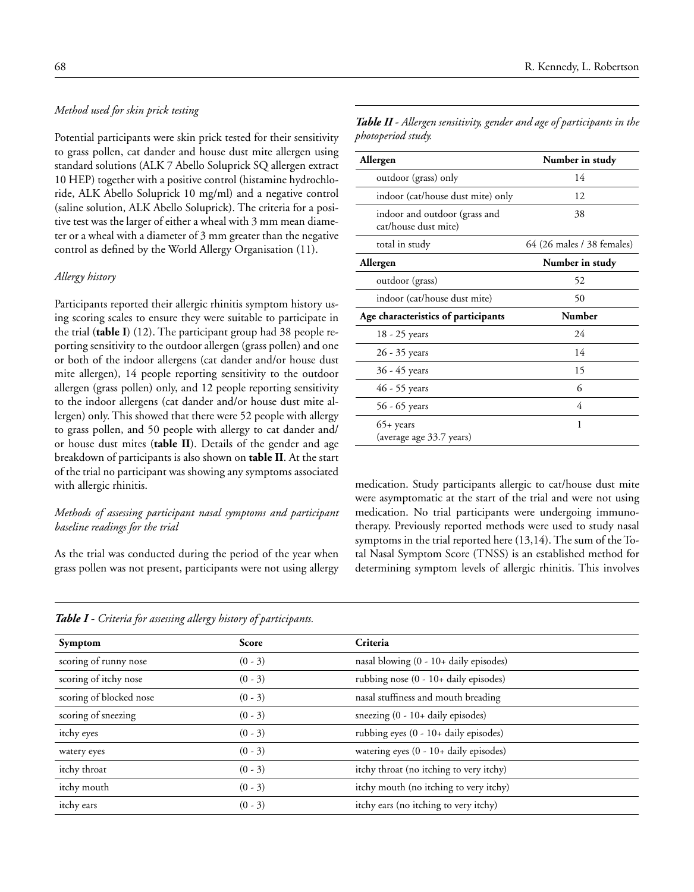# *Method used for skin prick testing*

Potential participants were skin prick tested for their sensitivity to grass pollen, cat dander and house dust mite allergen using standard solutions (ALK 7 Abello Soluprick SQ allergen extract 10 HEP) together with a positive control (histamine hydrochloride, ALK Abello Soluprick 10 mg/ml) and a negative control (saline solution, ALK Abello Soluprick). The criteria for a positive test was the larger of either a wheal with 3 mm mean diameter or a wheal with a diameter of 3 mm greater than the negative control as defined by the World Allergy Organisation (11).

#### *Allergy history*

Participants reported their allergic rhinitis symptom history using scoring scales to ensure they were suitable to participate in the trial (**table I**) (12). The participant group had 38 people reporting sensitivity to the outdoor allergen (grass pollen) and one or both of the indoor allergens (cat dander and/or house dust mite allergen), 14 people reporting sensitivity to the outdoor allergen (grass pollen) only, and 12 people reporting sensitivity to the indoor allergens (cat dander and/or house dust mite allergen) only. This showed that there were 52 people with allergy to grass pollen, and 50 people with allergy to cat dander and/ or house dust mites (**table II**). Details of the gender and age breakdown of participants is also shown on **table II**. At the start of the trial no participant was showing any symptoms associated with allergic rhinitis.

# *Methods of assessing participant nasal symptoms and participant baseline readings for the trial*

As the trial was conducted during the period of the year when grass pollen was not present, participants were not using allergy

| 68 | R. Kennedy, L. Robertson |
|----|--------------------------|
|    |                          |

*Table II - Allergen sensitivity, gender and age of participants in the photoperiod study.*

| Allergen                                              | Number in study            |
|-------------------------------------------------------|----------------------------|
| outdoor (grass) only                                  | 14                         |
| indoor (cat/house dust mite) only                     | 12                         |
| indoor and outdoor (grass and<br>cat/house dust mite) | 38                         |
| total in study                                        | 64 (26 males / 38 females) |
| Allergen                                              | Number in study            |
| outdoor (grass)                                       | 52                         |
| indoor (cat/house dust mite)                          | 50                         |
| Age characteristics of participants                   | <b>Number</b>              |
| 18 - 25 years                                         | 24                         |
| 26 - 35 years                                         | 14                         |
| 36 - 45 years                                         | 15                         |
| 46 - 55 years                                         | 6                          |
| 56 - 65 years                                         | 4                          |
| $65+$ years<br>(average age 33.7 years)               | 1                          |

medication. Study participants allergic to cat/house dust mite were asymptomatic at the start of the trial and were not using medication. No trial participants were undergoing immunotherapy. Previously reported methods were used to study nasal symptoms in the trial reported here (13,14). The sum of the Total Nasal Symptom Score (TNSS) is an established method for determining symptom levels of allergic rhinitis. This involves

|  |  |  | <b>Table I -</b> Criteria for assessing allergy history of participan+ |  |  |  |  |  |  |  |  |
|--|--|--|------------------------------------------------------------------------|--|--|--|--|--|--|--|--|
|--|--|--|------------------------------------------------------------------------|--|--|--|--|--|--|--|--|

| Symptom                 | <b>Score</b> | Criteria                                         |
|-------------------------|--------------|--------------------------------------------------|
| scoring of runny nose   | $(0 - 3)$    | nasal blowing $(0 - 10 + \text{daily episodes})$ |
| scoring of itchy nose   | $(0 - 3)$    | rubbing nose (0 - 10+ daily episodes)            |
| scoring of blocked nose | $(0 - 3)$    | nasal stuffiness and mouth breading              |
| scoring of sneezing     | $(0 - 3)$    | sneezing $(0 - 10 + \text{daily episodes})$      |
| itchy eyes              | $(0 - 3)$    | rubbing eyes (0 - 10+ daily episodes)            |
| watery eyes             | $(0 - 3)$    | watering eyes (0 - 10+ daily episodes)           |
| itchy throat            | $(0 - 3)$    | itchy throat (no itching to very itchy)          |
| itchy mouth             | $(0 - 3)$    | itchy mouth (no itching to very itchy)           |
| itchy ears              | $(0 - 3)$    | itchy ears (no itching to very itchy)            |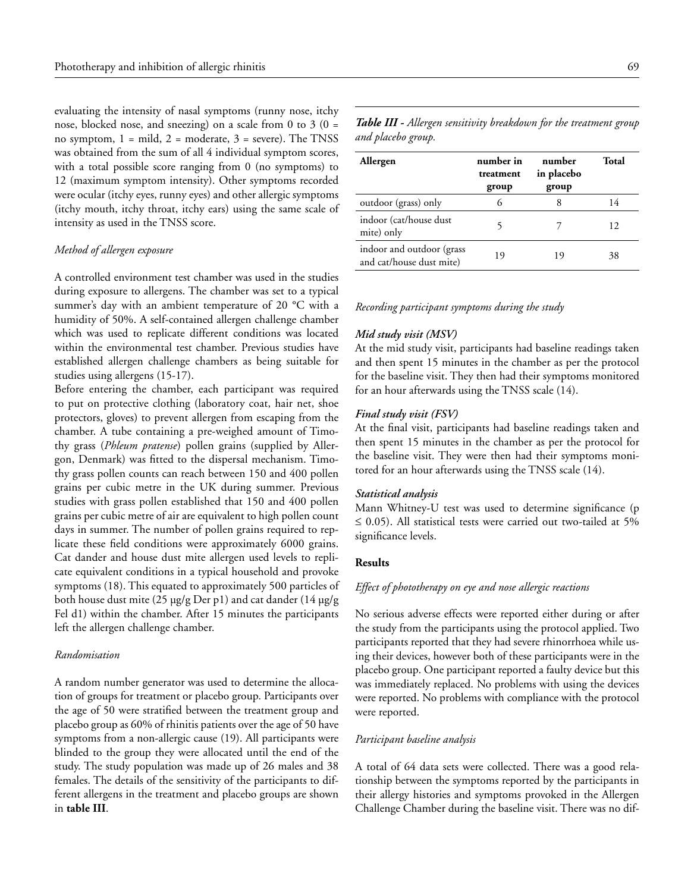evaluating the intensity of nasal symptoms (runny nose, itchy nose, blocked nose, and sneezing) on a scale from 0 to 3 ( $0 =$ no symptom,  $1 = \text{mild}$ ,  $2 = \text{moderate}$ ,  $3 = \text{severe}$ ). The TNSS was obtained from the sum of all 4 individual symptom scores, with a total possible score ranging from 0 (no symptoms) to 12 (maximum symptom intensity). Other symptoms recorded were ocular (itchy eyes, runny eyes) and other allergic symptoms (itchy mouth, itchy throat, itchy ears) using the same scale of intensity as used in the TNSS score.

# *Method of allergen exposure*

A controlled environment test chamber was used in the studies during exposure to allergens. The chamber was set to a typical summer's day with an ambient temperature of 20 °C with a humidity of 50%. A self-contained allergen challenge chamber which was used to replicate different conditions was located within the environmental test chamber. Previous studies have established allergen challenge chambers as being suitable for studies using allergens (15-17).

Before entering the chamber, each participant was required to put on protective clothing (laboratory coat, hair net, shoe protectors, gloves) to prevent allergen from escaping from the chamber. A tube containing a pre-weighed amount of Timothy grass (*Phleum pratense*) pollen grains (supplied by Allergon, Denmark) was fitted to the dispersal mechanism. Timothy grass pollen counts can reach between 150 and 400 pollen grains per cubic metre in the UK during summer. Previous studies with grass pollen established that 150 and 400 pollen grains per cubic metre of air are equivalent to high pollen count days in summer. The number of pollen grains required to replicate these field conditions were approximately 6000 grains. Cat dander and house dust mite allergen used levels to replicate equivalent conditions in a typical household and provoke symptoms (18). This equated to approximately 500 particles of both house dust mite (25 µg/g Der p1) and cat dander (14 μg/g Fel d1) within the chamber. After 15 minutes the participants left the allergen challenge chamber.

## *Randomisation*

A random number generator was used to determine the allocation of groups for treatment or placebo group. Participants over the age of 50 were stratified between the treatment group and placebo group as 60% of rhinitis patients over the age of 50 have symptoms from a non-allergic cause (19). All participants were blinded to the group they were allocated until the end of the study. The study population was made up of 26 males and 38 females. The details of the sensitivity of the participants to different allergens in the treatment and placebo groups are shown in **table III**.

*Table III - Allergen sensitivity breakdown for the treatment group and placebo group.*

| Allergen                                              | number in<br>treatment<br>group | number<br>in placebo<br>group | Total |
|-------------------------------------------------------|---------------------------------|-------------------------------|-------|
| outdoor (grass) only                                  | 6                               | 8                             | 14    |
| indoor (cat/house dust)<br>mite) only                 |                                 |                               | 12    |
| indoor and outdoor (grass<br>and cat/house dust mite) | 19                              | 19                            | 38    |

#### *Recording participant symptoms during the study*

#### *Mid study visit (MSV)*

At the mid study visit, participants had baseline readings taken and then spent 15 minutes in the chamber as per the protocol for the baseline visit. They then had their symptoms monitored for an hour afterwards using the TNSS scale (14).

#### *Final study visit (FSV)*

At the final visit, participants had baseline readings taken and then spent 15 minutes in the chamber as per the protocol for the baseline visit. They were then had their symptoms monitored for an hour afterwards using the TNSS scale (14).

## *Statistical analysis*

Mann Whitney-U test was used to determine significance (p  $\leq$  0.05). All statistical tests were carried out two-tailed at 5% significance levels.

# **Results**

#### *Effect of phototherapy on eye and nose allergic reactions*

No serious adverse effects were reported either during or after the study from the participants using the protocol applied. Two participants reported that they had severe rhinorrhoea while using their devices, however both of these participants were in the placebo group. One participant reported a faulty device but this was immediately replaced. No problems with using the devices were reported. No problems with compliance with the protocol were reported.

#### *Participant baseline analysis*

A total of 64 data sets were collected. There was a good relationship between the symptoms reported by the participants in their allergy histories and symptoms provoked in the Allergen Challenge Chamber during the baseline visit. There was no dif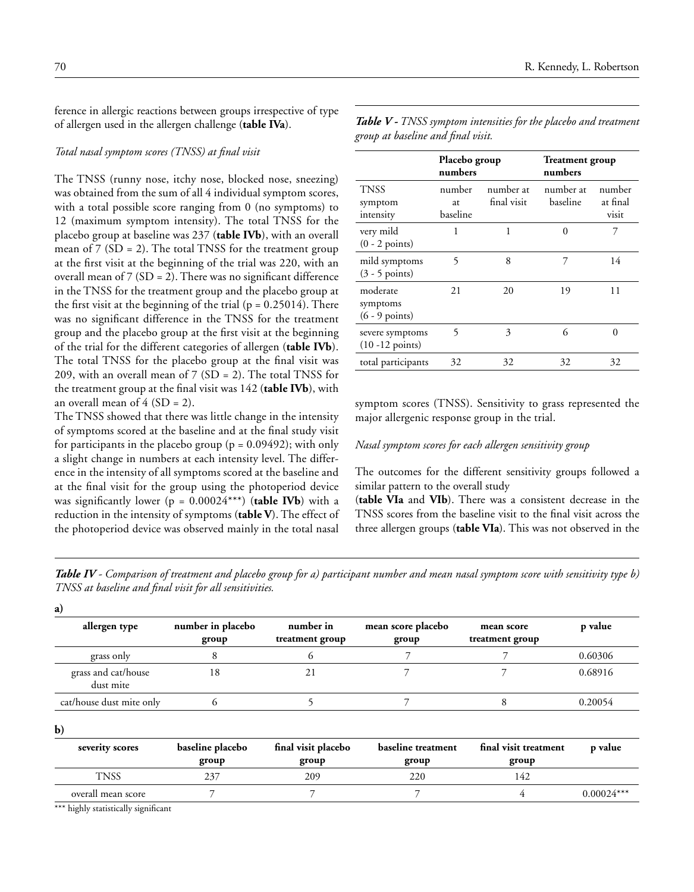ference in allergic reactions between groups irrespective of type of allergen used in the allergen challenge (**table IVa**).

# *Total nasal symptom scores (TNSS) at final visit*

The TNSS (runny nose, itchy nose, blocked nose, sneezing) was obtained from the sum of all 4 individual symptom scores, with a total possible score ranging from 0 (no symptoms) to 12 (maximum symptom intensity). The total TNSS for the placebo group at baseline was 237 (**table IVb**), with an overall mean of  $7 (SD = 2)$ . The total TNSS for the treatment group at the first visit at the beginning of the trial was 220, with an overall mean of  $7 (SD = 2)$ . There was no significant difference in the TNSS for the treatment group and the placebo group at the first visit at the beginning of the trial  $(p = 0.25014)$ . There was no significant difference in the TNSS for the treatment group and the placebo group at the first visit at the beginning of the trial for the different categories of allergen (**table IVb**). The total TNSS for the placebo group at the final visit was 209, with an overall mean of 7 (SD = 2). The total TNSS for the treatment group at the final visit was 142 (**table IVb**), with an overall mean of  $4 (SD = 2)$ .

The TNSS showed that there was little change in the intensity of symptoms scored at the baseline and at the final study visit for participants in the placebo group ( $p = 0.09492$ ); with only a slight change in numbers at each intensity level. The difference in the intensity of all symptoms scored at the baseline and at the final visit for the group using the photoperiod device was significantly lower ( $p = 0.00024***$ ) (**table IVb**) with a reduction in the intensity of symptoms (**table V**). The effect of the photoperiod device was observed mainly in the total nasal

|                                                  | Placebo group<br>numbers |                          | <b>Treatment</b> group<br>numbers |                             |  |
|--------------------------------------------------|--------------------------|--------------------------|-----------------------------------|-----------------------------|--|
| <b>TNSS</b><br>symptom<br>intensity              | number<br>at<br>baseline | number at<br>final visit | number at<br>baseline             | number<br>at final<br>visit |  |
| very mild<br>$(0 - 2$ points)                    | 1                        | 1                        | 0                                 | 7                           |  |
| mild symptoms<br>$(3 - 5 \text{ points})$        | 5                        | 8                        | 7                                 | 14                          |  |
| moderate<br>symptoms<br>$(6 - 9 \text{ points})$ | 21                       | 20                       | 19                                | 11                          |  |
| severe symptoms<br>$(10 - 12 \text{ points})$    | 5                        | 3                        | 6                                 | 0                           |  |
| total participants                               | 32                       | 32                       | 32                                | 32                          |  |

*Table V - TNSS symptom intensities for the placebo and treatment group at baseline and final visit.*

symptom scores (TNSS). Sensitivity to grass represented the major allergenic response group in the trial.

# *Nasal symptom scores for each allergen sensitivity group*

The outcomes for the different sensitivity groups followed a similar pattern to the overall study

(**table VIa** and **VIb**). There was a consistent decrease in the TNSS scores from the baseline visit to the final visit across the three allergen groups (**table VIa**). This was not observed in the

*Table IV - Comparison of treatment and placebo group for a) participant number and mean nasal symptom score with sensitivity type b) TNSS at baseline and final visit for all sensitivities.* 

| a)                               |                            |                              |                             |                               |         |
|----------------------------------|----------------------------|------------------------------|-----------------------------|-------------------------------|---------|
| allergen type                    | number in placebo<br>group | number in<br>treatment group | mean score placebo<br>group | mean score<br>treatment group | p value |
| grass only                       |                            |                              |                             |                               | 0.60306 |
| grass and cat/house<br>dust mite | 18                         | 21                           |                             |                               | 0.68916 |
| cat/house dust mite only         |                            |                              |                             |                               | 0.20054 |
|                                  |                            |                              |                             |                               |         |

**b)** 

**a)**

| severity scores    | baseline placebo | final visit placebo | baseline treatment | final visit treatment | p value      |
|--------------------|------------------|---------------------|--------------------|-----------------------|--------------|
| TNSS               | group<br>237     | group<br>209        | group<br>220       | group<br>142          |              |
| overall mean score |                  |                     |                    |                       | $0.00024***$ |

\*\*\* highly statistically significant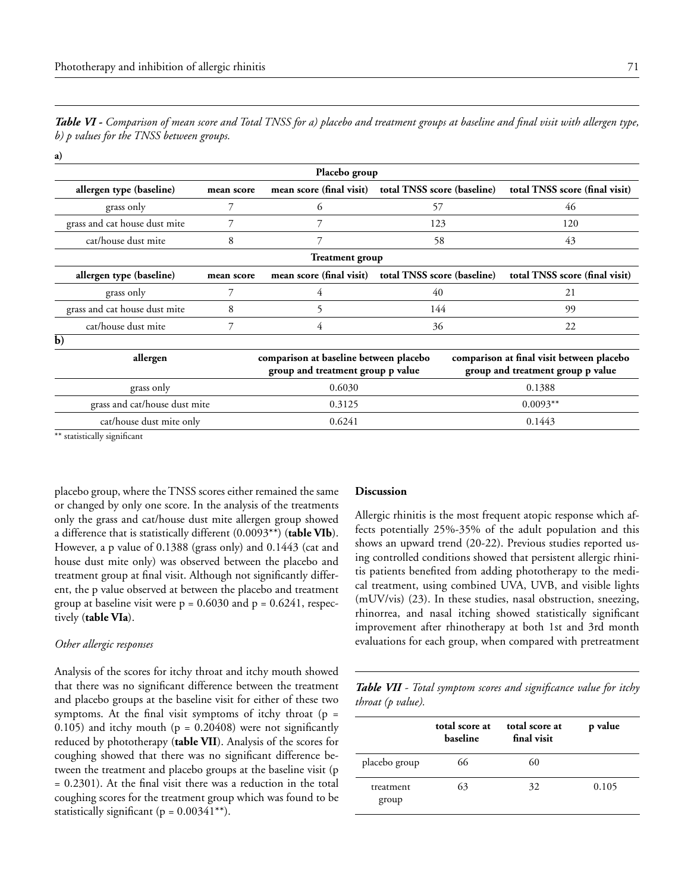| <b>Table VI -</b> Comparison of mean score and Total TNSS for a) placebo and treatment groups at baseline and final visit with allergen type, |  |  |
|-----------------------------------------------------------------------------------------------------------------------------------------------|--|--|
| b) p values for the TNSS between groups.                                                                                                      |  |  |

**a)** 

| Placebo group |                                                           |     |                                                                                                                                                                     |  |  |  |
|---------------|-----------------------------------------------------------|-----|---------------------------------------------------------------------------------------------------------------------------------------------------------------------|--|--|--|
| mean score    | mean score (final visit)                                  |     | total TNSS score (final visit)                                                                                                                                      |  |  |  |
|               | 6                                                         | 57  | 46                                                                                                                                                                  |  |  |  |
| 7             |                                                           | 123 | 120                                                                                                                                                                 |  |  |  |
| 8             | 7                                                         | 58  | 43                                                                                                                                                                  |  |  |  |
|               |                                                           |     |                                                                                                                                                                     |  |  |  |
| mean score    | mean score (final visit)                                  |     | total TNSS score (final visit)                                                                                                                                      |  |  |  |
|               | 4                                                         | 40  | 21                                                                                                                                                                  |  |  |  |
| 8             | 5.                                                        | 144 | 99                                                                                                                                                                  |  |  |  |
| 7             | 4                                                         | 36  | 22                                                                                                                                                                  |  |  |  |
|               |                                                           |     |                                                                                                                                                                     |  |  |  |
|               |                                                           |     | comparison at final visit between placebo<br>group and treatment group p value                                                                                      |  |  |  |
|               | 0.6030                                                    |     | 0.1388                                                                                                                                                              |  |  |  |
|               | 0.3125                                                    |     | $0.0093**$                                                                                                                                                          |  |  |  |
|               | 0.6241                                                    |     | 0.1443                                                                                                                                                              |  |  |  |
|               | grass and cat/house dust mite<br>cat/house dust mite only |     | total TNSS score (baseline)<br><b>Treatment group</b><br>total TNSS score (baseline)<br>comparison at baseline between placebo<br>group and treatment group p value |  |  |  |

\*\* statistically significant

placebo group, where the TNSS scores either remained the same or changed by only one score. In the analysis of the treatments only the grass and cat/house dust mite allergen group showed a difference that is statistically different (0.0093\*\*) (**table VIb**). However, a p value of 0.1388 (grass only) and 0.1443 (cat and house dust mite only) was observed between the placebo and treatment group at final visit. Although not significantly different, the p value observed at between the placebo and treatment group at baseline visit were  $p = 0.6030$  and  $p = 0.6241$ , respectively (**table VIa**).

#### *Other allergic responses*

Analysis of the scores for itchy throat and itchy mouth showed that there was no significant difference between the treatment and placebo groups at the baseline visit for either of these two symptoms. At the final visit symptoms of itchy throat ( $p =$ 0.105) and itchy mouth ( $p = 0.20408$ ) were not significantly reduced by phototherapy (**table VII**). Analysis of the scores for coughing showed that there was no significant difference between the treatment and placebo groups at the baseline visit (p = 0.2301). At the final visit there was a reduction in the total coughing scores for the treatment group which was found to be statistically significant ( $p = 0.00341**$ ).

#### **Discussion**

Allergic rhinitis is the most frequent atopic response which affects potentially 25%-35% of the adult population and this shows an upward trend (20-22). Previous studies reported using controlled conditions showed that persistent allergic rhinitis patients benefited from adding phototherapy to the medical treatment, using combined UVA, UVB, and visible lights (mUV/vis) (23). In these studies, nasal obstruction, sneezing, rhinorrea, and nasal itching showed statistically significant improvement after rhinotherapy at both 1st and 3rd month evaluations for each group, when compared with pretreatment

*Table VII - Total symptom scores and significance value for itchy throat (p value).*

|                    | total score at<br>baseline | total score at<br>final visit | p value |
|--------------------|----------------------------|-------------------------------|---------|
| placebo group      | 66                         | 60                            |         |
| treatment<br>group | 63                         | 32                            | 0.105   |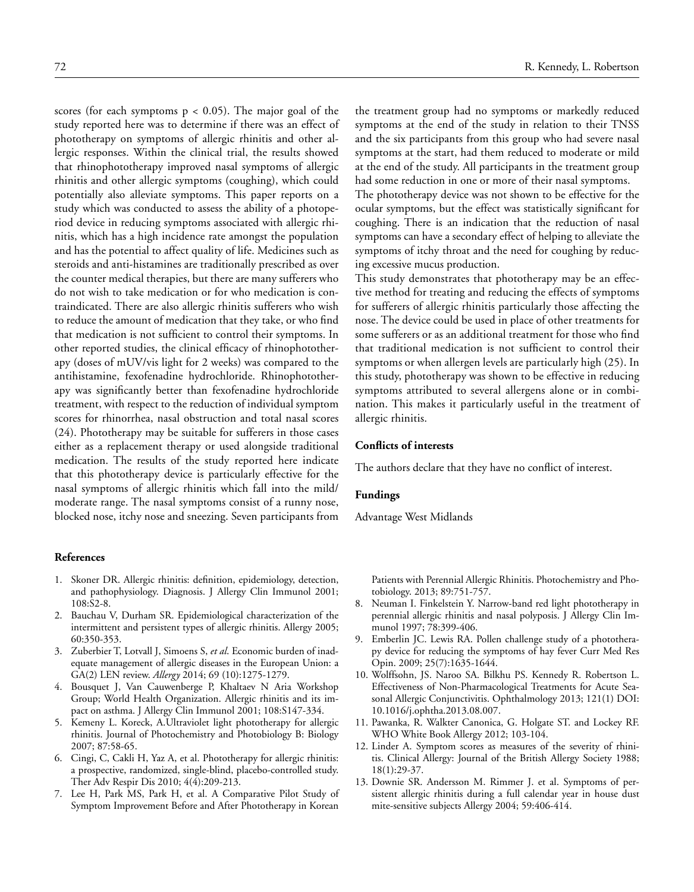scores (for each symptoms  $p < 0.05$ ). The major goal of the study reported here was to determine if there was an effect of phototherapy on symptoms of allergic rhinitis and other allergic responses. Within the clinical trial, the results showed that rhinophototherapy improved nasal symptoms of allergic rhinitis and other allergic symptoms (coughing), which could potentially also alleviate symptoms. This paper reports on a study which was conducted to assess the ability of a photoperiod device in reducing symptoms associated with allergic rhinitis, which has a high incidence rate amongst the population and has the potential to affect quality of life. Medicines such as steroids and anti-histamines are traditionally prescribed as over the counter medical therapies, but there are many sufferers who do not wish to take medication or for who medication is contraindicated. There are also allergic rhinitis sufferers who wish to reduce the amount of medication that they take, or who find that medication is not sufficient to control their symptoms. In other reported studies, the clinical efficacy of rhinophototherapy (doses of mUV/vis light for 2 weeks) was compared to the antihistamine, fexofenadine hydrochloride. Rhinophototherapy was significantly better than fexofenadine hydrochloride treatment, with respect to the reduction of individual symptom scores for rhinorrhea, nasal obstruction and total nasal scores (24). Phototherapy may be suitable for sufferers in those cases either as a replacement therapy or used alongside traditional medication. The results of the study reported here indicate that this phototherapy device is particularly effective for the nasal symptoms of allergic rhinitis which fall into the mild/ moderate range. The nasal symptoms consist of a runny nose, blocked nose, itchy nose and sneezing. Seven participants from

#### **References**

- 1. Skoner DR. Allergic rhinitis: definition, epidemiology, detection, and pathophysiology. Diagnosis. J Allergy Clin Immunol 2001; 108:S2-8.
- 2. Bauchau V, Durham SR. Epidemiological characterization of the intermittent and persistent types of allergic rhinitis. Allergy 2005; 60:350-353.
- 3. Zuberbier T, Lotvall J, Simoens S, *et al*. Economic burden of inadequate management of allergic diseases in the European Union: a GA(2) LEN review. *Allergy* 2014; 69 (10):1275-1279.
- 4. Bousquet J, Van Cauwenberge P, Khaltaev N Aria Workshop Group; World Health Organization. Allergic rhinitis and its impact on asthma. J Allergy Clin Immunol 2001; 108:S147-334.
- 5. Kemeny L. Koreck, A.Ultraviolet light phototherapy for allergic rhinitis. Journal of Photochemistry and Photobiology B: Biology 2007; 87:58-65.
- 6. Cingi, C, Cakli H, Yaz A, et al. Phototherapy for allergic rhinitis: a prospective, randomized, single-blind, placebo-controlled study. Ther Adv Respir Dis 2010; 4(4):209-213.
- Lee H, Park MS, Park H, et al. A Comparative Pilot Study of Symptom Improvement Before and After Phototherapy in Korean

the treatment group had no symptoms or markedly reduced symptoms at the end of the study in relation to their TNSS and the six participants from this group who had severe nasal symptoms at the start, had them reduced to moderate or mild at the end of the study. All participants in the treatment group had some reduction in one or more of their nasal symptoms.

The phototherapy device was not shown to be effective for the ocular symptoms, but the effect was statistically significant for coughing. There is an indication that the reduction of nasal symptoms can have a secondary effect of helping to alleviate the symptoms of itchy throat and the need for coughing by reducing excessive mucus production.

This study demonstrates that phototherapy may be an effective method for treating and reducing the effects of symptoms for sufferers of allergic rhinitis particularly those affecting the nose. The device could be used in place of other treatments for some sufferers or as an additional treatment for those who find that traditional medication is not sufficient to control their symptoms or when allergen levels are particularly high (25). In this study, phototherapy was shown to be effective in reducing symptoms attributed to several allergens alone or in combination. This makes it particularly useful in the treatment of allergic rhinitis.

# **Conflicts of interests**

The authors declare that they have no conflict of interest.

#### **Fundings**

Advantage West Midlands

Patients with Perennial Allergic Rhinitis. Photochemistry and Photobiology. 2013; 89:751-757.

- 8. Neuman I. Finkelstein Y. Narrow-band red light phototherapy in perennial allergic rhinitis and nasal polyposis. J Allergy Clin Immunol 1997; 78:399-406.
- 9. Emberlin JC. Lewis RA. Pollen challenge study of a phototherapy device for reducing the symptoms of hay fever Curr Med Res Opin. 2009; 25(7):1635-1644.
- 10. Wolffsohn, JS. Naroo SA. Bilkhu PS. Kennedy R. Robertson L. Effectiveness of Non-Pharmacological Treatments for Acute Seasonal Allergic Conjunctivitis. Ophthalmology 2013; 121(1) DOI: 10.1016/j.ophtha.2013.08.007.
- 11. Pawanka, R. Walkter Canonica, G. Holgate ST. and Lockey RF. WHO White Book Allergy 2012; 103-104.
- 12. Linder A. Symptom scores as measures of the severity of rhinitis. Clinical Allergy: Journal of the British Allergy Society 1988; 18(1):29-37.
- 13. Downie SR. Andersson M. Rimmer J. et al. Symptoms of persistent allergic rhinitis during a full calendar year in house dust mite-sensitive subjects Allergy 2004; 59:406-414.